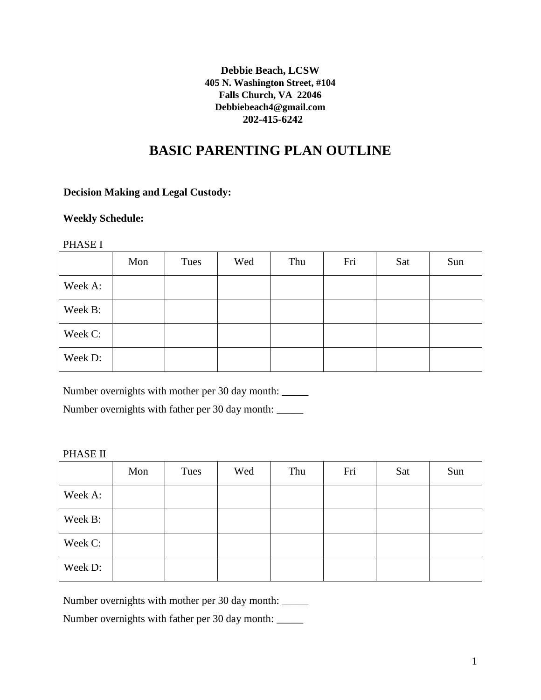## **Debbie Beach, LCSW 405 N. Washington Street, #104 Falls Church, VA 22046 Debbiebeach4@gmail.com 202-415-6242**

# **BASIC PARENTING PLAN OUTLINE**

# **Decision Making and Legal Custody:**

# **Weekly Schedule:**

#### PHASE I

|         | Mon | Tues | Wed | Thu | Fri | Sat | Sun |
|---------|-----|------|-----|-----|-----|-----|-----|
| Week A: |     |      |     |     |     |     |     |
| Week B: |     |      |     |     |     |     |     |
| Week C: |     |      |     |     |     |     |     |
| Week D: |     |      |     |     |     |     |     |

Number overnights with mother per 30 day month:

Number overnights with father per 30 day month: \_\_\_\_\_

#### PHASE II

|         | Mon | Tues | Wed | Thu | Fri | Sat | Sun |
|---------|-----|------|-----|-----|-----|-----|-----|
| Week A: |     |      |     |     |     |     |     |
| Week B: |     |      |     |     |     |     |     |
| Week C: |     |      |     |     |     |     |     |
| Week D: |     |      |     |     |     |     |     |

Number overnights with mother per 30 day month: \_\_\_\_\_

Number overnights with father per 30 day month: \_\_\_\_\_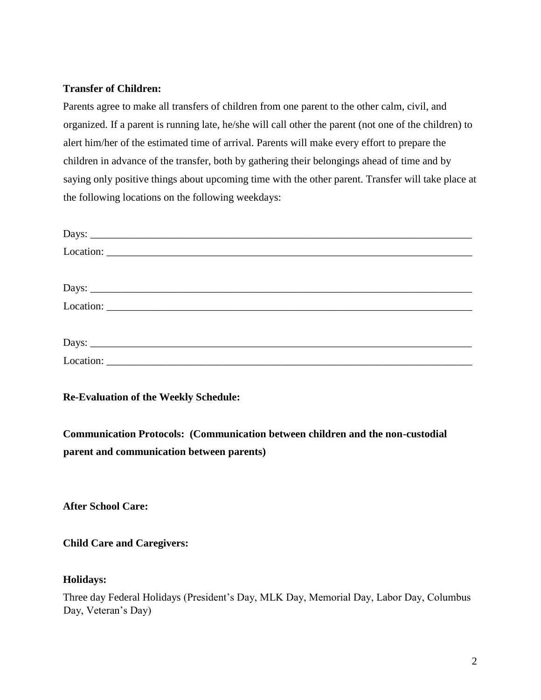### **Transfer of Children:**

Parents agree to make all transfers of children from one parent to the other calm, civil, and organized. If a parent is running late, he/she will call other the parent (not one of the children) to alert him/her of the estimated time of arrival. Parents will make every effort to prepare the children in advance of the transfer, both by gathering their belongings ahead of time and by saying only positive things about upcoming time with the other parent. Transfer will take place at the following locations on the following weekdays:

| $\text{Location:}\n\begin{picture}(150,10) \put(0,0){\dashbox{0.5}(10,0){ }} \put(15,0){\circle{10}} \put(15,0){\circle{10}} \put(15,0){\circle{10}} \put(15,0){\circle{10}} \put(15,0){\circle{10}} \put(15,0){\circle{10}} \put(15,0){\circle{10}} \put(15,0){\circle{10}} \put(15,0){\circle{10}} \put(15,0){\circle{10}} \put(15,0){\circle{10}} \put(15,0){\circle{10}} \put(15,0){\circle{1$ |  |  |
|----------------------------------------------------------------------------------------------------------------------------------------------------------------------------------------------------------------------------------------------------------------------------------------------------------------------------------------------------------------------------------------------------|--|--|
|                                                                                                                                                                                                                                                                                                                                                                                                    |  |  |
|                                                                                                                                                                                                                                                                                                                                                                                                    |  |  |
|                                                                                                                                                                                                                                                                                                                                                                                                    |  |  |

**Re-Evaluation of the Weekly Schedule:**

**Communication Protocols: (Communication between children and the non-custodial parent and communication between parents)**

**After School Care:**

**Child Care and Caregivers:**

## **Holidays:**

Three day Federal Holidays (President's Day, MLK Day, Memorial Day, Labor Day, Columbus Day, Veteran's Day)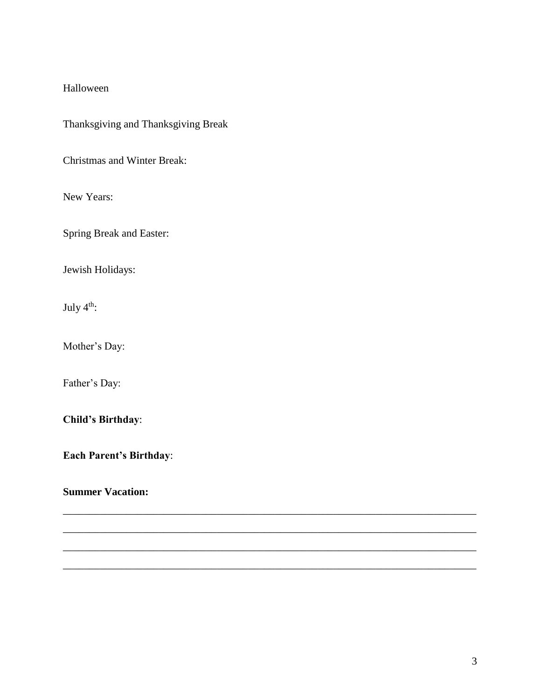### Halloween

Thanksgiving and Thanksgiving Break

Christmas and Winter Break:

New Years:

Spring Break and Easter:

Jewish Holidays:

July 4<sup>th</sup>:

Mother's Day:

Father's Day:

**Child's Birthday**:

**Each Parent's Birthday**:

\_\_\_\_\_\_\_\_\_\_\_\_\_\_\_\_\_\_\_\_\_\_\_\_\_\_\_\_\_\_\_\_\_\_\_\_\_\_\_\_\_\_\_\_\_\_\_\_\_\_\_\_\_\_\_\_\_\_\_\_\_\_\_\_\_\_\_\_\_\_\_\_\_\_\_\_\_\_

\_\_\_\_\_\_\_\_\_\_\_\_\_\_\_\_\_\_\_\_\_\_\_\_\_\_\_\_\_\_\_\_\_\_\_\_\_\_\_\_\_\_\_\_\_\_\_\_\_\_\_\_\_\_\_\_\_\_\_\_\_\_\_\_\_\_\_\_\_\_\_\_\_\_\_\_\_\_

\_\_\_\_\_\_\_\_\_\_\_\_\_\_\_\_\_\_\_\_\_\_\_\_\_\_\_\_\_\_\_\_\_\_\_\_\_\_\_\_\_\_\_\_\_\_\_\_\_\_\_\_\_\_\_\_\_\_\_\_\_\_\_\_\_\_\_\_\_\_\_\_\_\_\_\_\_\_

\_\_\_\_\_\_\_\_\_\_\_\_\_\_\_\_\_\_\_\_\_\_\_\_\_\_\_\_\_\_\_\_\_\_\_\_\_\_\_\_\_\_\_\_\_\_\_\_\_\_\_\_\_\_\_\_\_\_\_\_\_\_\_\_\_\_\_\_\_\_\_\_\_\_\_\_\_\_

**Summer Vacation:**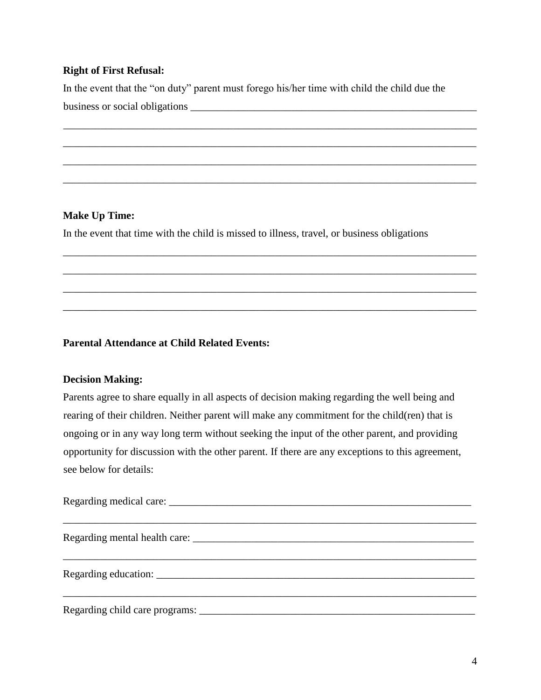# **Right of First Refusal:**

In the event that the "on duty" parent must forego his/her time with child the child due the business or social obligations \_\_\_\_\_\_\_\_\_\_\_\_\_\_\_\_\_\_\_\_\_\_\_\_\_\_\_\_\_\_\_\_\_\_\_\_\_\_\_\_\_\_\_\_\_\_\_\_\_\_\_\_\_\_

\_\_\_\_\_\_\_\_\_\_\_\_\_\_\_\_\_\_\_\_\_\_\_\_\_\_\_\_\_\_\_\_\_\_\_\_\_\_\_\_\_\_\_\_\_\_\_\_\_\_\_\_\_\_\_\_\_\_\_\_\_\_\_\_\_\_\_\_\_\_\_\_\_\_\_\_\_\_

\_\_\_\_\_\_\_\_\_\_\_\_\_\_\_\_\_\_\_\_\_\_\_\_\_\_\_\_\_\_\_\_\_\_\_\_\_\_\_\_\_\_\_\_\_\_\_\_\_\_\_\_\_\_\_\_\_\_\_\_\_\_\_\_\_\_\_\_\_\_\_\_\_\_\_\_\_\_

\_\_\_\_\_\_\_\_\_\_\_\_\_\_\_\_\_\_\_\_\_\_\_\_\_\_\_\_\_\_\_\_\_\_\_\_\_\_\_\_\_\_\_\_\_\_\_\_\_\_\_\_\_\_\_\_\_\_\_\_\_\_\_\_\_\_\_\_\_\_\_\_\_\_\_\_\_\_

\_\_\_\_\_\_\_\_\_\_\_\_\_\_\_\_\_\_\_\_\_\_\_\_\_\_\_\_\_\_\_\_\_\_\_\_\_\_\_\_\_\_\_\_\_\_\_\_\_\_\_\_\_\_\_\_\_\_\_\_\_\_\_\_\_\_\_\_\_\_\_\_\_\_\_\_\_\_

\_\_\_\_\_\_\_\_\_\_\_\_\_\_\_\_\_\_\_\_\_\_\_\_\_\_\_\_\_\_\_\_\_\_\_\_\_\_\_\_\_\_\_\_\_\_\_\_\_\_\_\_\_\_\_\_\_\_\_\_\_\_\_\_\_\_\_\_\_\_\_\_\_\_\_\_\_\_

\_\_\_\_\_\_\_\_\_\_\_\_\_\_\_\_\_\_\_\_\_\_\_\_\_\_\_\_\_\_\_\_\_\_\_\_\_\_\_\_\_\_\_\_\_\_\_\_\_\_\_\_\_\_\_\_\_\_\_\_\_\_\_\_\_\_\_\_\_\_\_\_\_\_\_\_\_\_

\_\_\_\_\_\_\_\_\_\_\_\_\_\_\_\_\_\_\_\_\_\_\_\_\_\_\_\_\_\_\_\_\_\_\_\_\_\_\_\_\_\_\_\_\_\_\_\_\_\_\_\_\_\_\_\_\_\_\_\_\_\_\_\_\_\_\_\_\_\_\_\_\_\_\_\_\_\_

\_\_\_\_\_\_\_\_\_\_\_\_\_\_\_\_\_\_\_\_\_\_\_\_\_\_\_\_\_\_\_\_\_\_\_\_\_\_\_\_\_\_\_\_\_\_\_\_\_\_\_\_\_\_\_\_\_\_\_\_\_\_\_\_\_\_\_\_\_\_\_\_\_\_\_\_\_\_

# **Make Up Time:**

In the event that time with the child is missed to illness, travel, or business obligations

# **Parental Attendance at Child Related Events:**

## **Decision Making:**

Parents agree to share equally in all aspects of decision making regarding the well being and rearing of their children. Neither parent will make any commitment for the child(ren) that is ongoing or in any way long term without seeking the input of the other parent, and providing opportunity for discussion with the other parent. If there are any exceptions to this agreement, see below for details:

Regarding medical care: \_\_\_\_\_\_\_\_\_\_\_\_\_\_\_\_\_\_\_\_\_\_\_\_\_\_\_\_\_\_\_\_\_\_\_\_\_\_\_\_\_\_\_\_\_\_\_\_\_\_\_\_\_\_\_\_\_\_\_\_\_\_\_\_\_\_\_\_\_\_\_\_\_\_\_\_\_\_ Regarding mental health care: \_\_\_\_\_\_\_\_\_\_\_\_\_\_\_\_\_\_\_\_\_\_\_\_\_\_\_\_\_\_\_\_\_\_\_\_\_\_\_\_\_\_\_\_\_\_\_\_\_\_\_\_\_ \_\_\_\_\_\_\_\_\_\_\_\_\_\_\_\_\_\_\_\_\_\_\_\_\_\_\_\_\_\_\_\_\_\_\_\_\_\_\_\_\_\_\_\_\_\_\_\_\_\_\_\_\_\_\_\_\_\_\_\_\_\_\_\_\_\_\_\_\_\_\_\_\_\_\_\_\_\_ Regarding education: \_\_\_\_\_\_\_\_\_\_\_\_\_\_\_\_\_\_\_\_\_\_\_\_\_\_\_\_\_\_\_\_\_\_\_\_\_\_\_\_\_\_\_\_\_\_\_\_\_\_\_\_\_\_\_\_\_\_\_\_\_\_\_\_\_\_\_\_\_\_\_\_\_\_\_\_\_\_ Regarding child care programs: \_\_\_\_\_\_\_\_\_\_\_\_\_\_\_\_\_\_\_\_\_\_\_\_\_\_\_\_\_\_\_\_\_\_\_\_\_\_\_\_\_\_\_\_\_\_\_\_\_\_\_\_